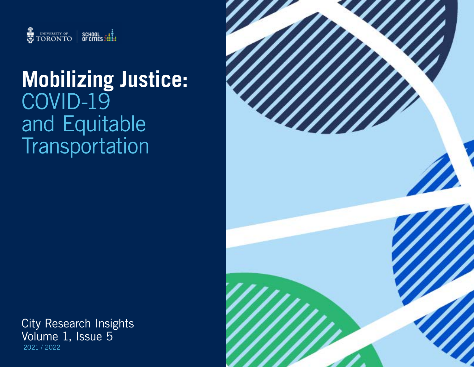

# **Mobilizing Justice:**  COVID-19 and Equitable **Transportation**

City Research Insights Volume 1, Issue 5 2021 / 2022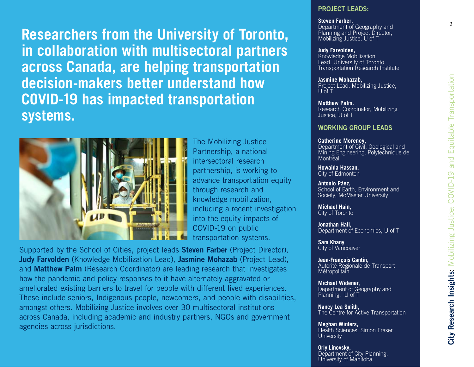**Researchers from the University of Toronto, in collaboration with multisectoral partners across Canada, are helping transportation decision-makers better understand how COVID-19 has impacted transportation systems.** 



The Mobilizing Justice Partnership, a national intersectoral research partnership, is working to advance transportation equity through research and knowledge mobilization, including a recent investigation into the equity impacts of COVID-19 on public transportation systems.

Supported by the School of Cities, project leads **Steven Farber** (Project Director), **Judy Farvolden** (Knowledge Mobilization Lead), **Jasmine Mohazab** (Project Lead), and **Matthew Palm** (Research Coordinator) are leading research that investigates how the pandemic and policy responses to it have alternately aggravated or ameliorated existing barriers to travel for people with different lived experiences. These include seniors, Indigenous people, newcomers, and people with disabilities, amongst others. Mobilizing Justice involves over 30 multisectoral institutions across Canada, including academic and industry partners, NGOs and government agencies across jurisdictions.

### **PROJECT LEADS:**

#### **Steven Farber,**

Department of Geography and Planning and Project Director, Mobilizing Justice, U of T

#### **Judy Farvolden,**

Knowledge Mobilization Lead, University of Toronto Transportation Research Institute

**Jasmine Mohazab,** 

Project Lead, Mobilizing Justice, U of T

**Matthew Palm,**  Research Coordinator, Mobilizing Justice, U of T

### **WORKING GROUP LEADS**

#### **Catherine Morency,**

Department of Civil, Geological and Mining Engineering, Polytechnique de **Montréal** 

**Howaida Hassan,** City of Edmonton

**Antonio Páez,** School of Earth, Environment and Society, McMaster University

**Michael Hain,** City of Toronto

**Jonathan Hall,** Department of Economics, U of T

**Sam Khany** City of Vancouver

**Jean-François Cantin,** Autorité Régionale de Transport **Métropolitain** 

**Michael Widener**, Department of Geography and Planning, U of T

**Nancy Lea Smith,** The Centre for Active Transportation

**Meghan Winters,** Health Sciences, Simon Fraser **University** 

**Orly Linovsky,** Department of City Planning, University of Manitoba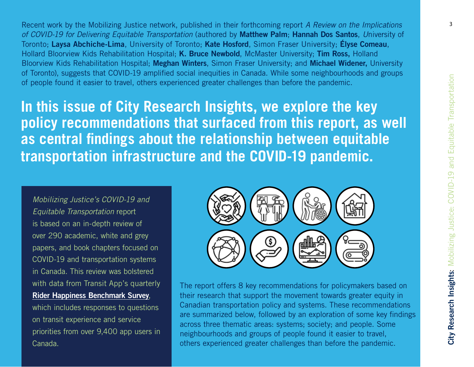Recent work by the Mobilizing Justice network, published in their forthcoming report *A Review on the Implications of COVID-19 for Delivering Equitable Transportation* (authored by **Matthew Palm**; **Hannah Dos Santos**, *U*niversity of Toronto; **Laysa Abchiche-Lima**, University of Toronto; **Kate Hosford**, Simon Fraser University; **Élyse Comeau**, Hollard Bloorview Kids Rehabilitation Hospital; **K. Bruce Newbold**, McMaster University; **Tim Ross,** Holland Bloorview Kids Rehabilitation Hospital; **Meghan Winters**, Simon Fraser University; and **Michael Widener,** University of Toronto), suggests that COVID-19 amplified social inequities in Canada. While some neighbourhoods and groups of people found it easier to travel, others experienced greater challenges than before the pandemic.

**In this issue of City Research Insights, we explore the key policy recommendations that surfaced from this report, as well as central findings about the relationship between equitable transportation infrastructure and the COVID-19 pandemic.** 

Mobilizing Justice's COVID-19 and Equitable Transportation report is based on an in-depth review of over 290 academic, white and grey papers, and book chapters focused on COVID-19 and transportation systems in Canada. This review was bolstered with data from Transit App's quarterly **[Rider Happiness Benchmark Survey](https://blog.transitapp.com/case-study/rider-happiness-benchmarking-survey-spring-2021/)**,

which includes responses to questions on transit experience and service priorities from over 9,400 app users in Canada.



The report offers 8 key recommendations for policymakers based on their research that support the movement towards greater equity in Canadian transportation policy and systems. These recommendations are summarized below, followed by an exploration of some key findings across three thematic areas: systems; society; and people. Some neighbourhoods and groups of people found it easier to travel, others experienced greater challenges than before the pandemic.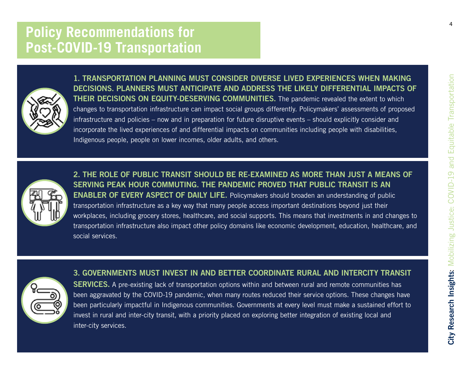# **Policy Recommendations for Post-COVID-19 Transportation**



**1. TRANSPORTATION PLANNING MUST CONSIDER DIVERSE LIVED EXPERIENCES WHEN MAKING DECISIONS. PLANNERS MUST ANTICIPATE AND ADDRESS THE LIKELY DIFFERENTIAL IMPACTS OF THEIR DECISIONS ON EQUITY-DESERVING COMMUNITIES.** The pandemic revealed the extent to which changes to transportation infrastructure can impact social groups differently. Policymakers' assessments of proposed infrastructure and policies – now and in preparation for future disruptive events – should explicitly consider and incorporate the lived experiences of and differential impacts on communities including people with disabilities, Indigenous people, people on lower incomes, older adults, and others.



**2. THE ROLE OF PUBLIC TRANSIT SHOULD BE RE-EXAMINED AS MORE THAN JUST A MEANS OF SERVING PEAK HOUR COMMUTING. THE PANDEMIC PROVED THAT PUBLIC TRANSIT IS AN ENABLER OF EVERY ASPECT OF DAILY LIFE.** Policymakers should broaden an understanding of public transportation infrastructure as a key way that many people access important destinations beyond just their workplaces, including grocery stores, healthcare, and social supports. This means that investments in and changes to transportation infrastructure also impact other policy domains like economic development, education, healthcare, and social services.



## **3. GOVERNMENTS MUST INVEST IN AND BETTER COORDINATE RURAL AND INTERCITY TRANSIT**

**SERVICES.** A pre-existing lack of transportation options within and between rural and remote communities has been aggravated by the COVID-19 pandemic, when many routes reduced their service options. These changes have been particularly impactful in Indigenous communities. Governments at every level must make a sustained effort to invest in rural and inter-city transit, with a priority placed on exploring better integration of existing local and inter-city services.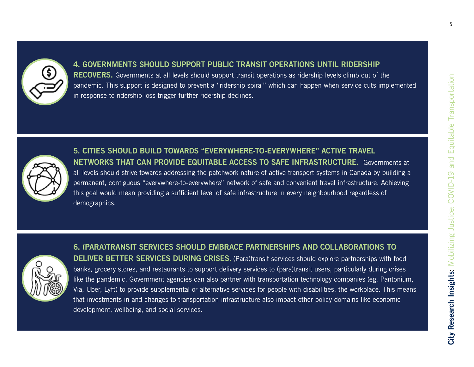

## **4. GOVERNMENTS SHOULD SUPPORT PUBLIC TRANSIT OPERATIONS UNTIL RIDERSHIP**

**RECOVERS.** Governments at all levels should support transit operations as ridership levels climb out of the pandemic. This support is designed to prevent a "ridership spiral" which can happen when service cuts implemented in response to ridership loss trigger further ridership declines.



**5. CITIES SHOULD BUILD TOWARDS "EVERYWHERE-TO-EVERYWHERE" ACTIVE TRAVEL NETWORKS THAT CAN PROVIDE EQUITABLE ACCESS TO SAFE INFRASTRUCTURE.** Governments at all levels should strive towards addressing the patchwork nature of active transport systems in Canada by building a permanent, contiguous "everywhere-to-everywhere" network of safe and convenient travel infrastructure. Achieving this goal would mean providing a sufficient level of safe infrastructure in every neighbourhood regardless of demographics.



**6. (PARA)TRANSIT SERVICES SHOULD EMBRACE PARTNERSHIPS AND COLLABORATIONS TO DELIVER BETTER SERVICES DURING CRISES.** (Para)transit services should explore partnerships with food banks, grocery stores, and restaurants to support delivery services to (para)transit users, particularly during crises like the pandemic. Government agencies can also partner with transportation technology companies (eg. Pantonium, Via, Uber, Lyft) to provide supplemental or alternative services for people with disabilities. the workplace. This means that investments in and changes to transportation infrastructure also impact other policy domains like economic development, wellbeing, and social services.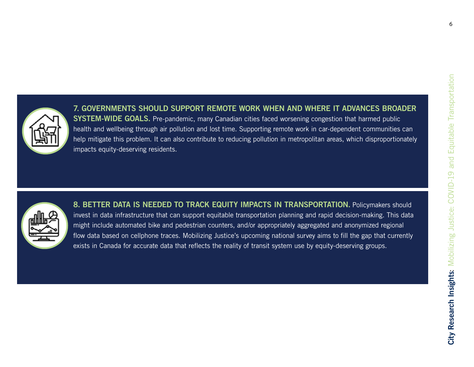

**7. GOVERNMENTS SHOULD SUPPORT REMOTE WORK WHEN AND WHERE IT ADVANCES BROADER SYSTEM-WIDE GOALS.** Pre-pandemic, many Canadian cities faced worsening congestion that harmed public health and wellbeing through air pollution and lost time. Supporting remote work in car-dependent communities can help mitigate this problem. It can also contribute to reducing pollution in metropolitan areas, which disproportionately impacts equity-deserving residents.



**8. BETTER DATA IS NEEDED TO TRACK EQUITY IMPACTS IN TRANSPORTATION.** Policymakers should invest in data infrastructure that can support equitable transportation planning and rapid decision-making. This data might include automated bike and pedestrian counters, and/or appropriately aggregated and anonymized regional flow data based on cellphone traces. Mobilizing Justice's upcoming national survey aims to fill the gap that currently exists in Canada for accurate data that reflects the reality of transit system use by equity-deserving groups.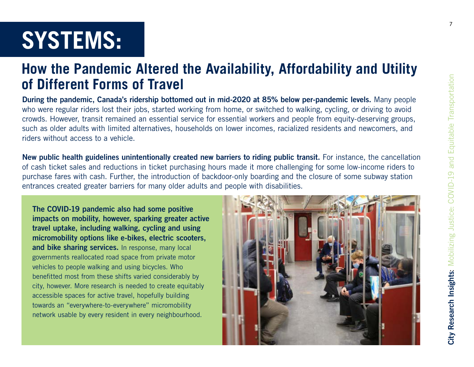# City Research Insights: Mobilizing Justice: COVID-19 and Equitable Transportation **City Research Insights**: Mobilizing Justice: COVID-19 and Equitable Transportation

# **SYSTEMS:**

# **How the Pandemic Altered the Availability, Affordability and Utility of Different Forms of Travel**

**During the pandemic, Canada's ridership bottomed out in mid-2020 at 85% below per-pandemic levels.** Many people who were regular riders lost their jobs, started working from home, or switched to walking, cycling, or driving to avoid crowds. However, transit remained an essential service for essential workers and people from equity-deserving groups, such as older adults with limited alternatives, households on lower incomes, racialized residents and newcomers, and riders without access to a vehicle.

New public health guidelines unintentionally created new barriers to riding public transit. For instance, the cancellation of cash ticket sales and reductions in ticket purchasing hours made it more challenging for some low-income riders to purchase fares with cash. Further, the introduction of backdoor-only boarding and the closure of some subway station entrances created greater barriers for many older adults and people with disabilities.

**The COVID-19 pandemic also had some positive impacts on mobility, however, sparking greater active travel uptake, including walking, cycling and using micromobility options like e-bikes, electric scooters, and bike sharing services.** In response, many local governments reallocated road space from private motor vehicles to people walking and using bicycles. Who benefitted most from these shifts varied considerably by city, however. More research is needed to create equitably accessible spaces for active travel, hopefully building towards an "everywhere-to-everywhere" micromobility network usable by every resident in every neighbourhood.

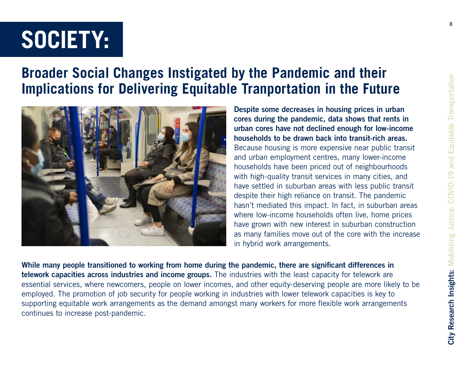# **SOCIETY:**

## **Broader Social Changes Instigated by the Pandemic and their Implications for Delivering Equitable Tranportation in the Future**



**Despite some decreases in housing prices in urban cores during the pandemic, data shows that rents in urban cores have not declined enough for low-income households to be drawn back into transit-rich areas.** Because housing is more expensive near public transit and urban employment centres, many lower-income households have been priced out of neighbourhoods with high-quality transit services in many cities, and have settled in suburban areas with less public transit despite their high reliance on transit. The pandemic hasn't mediated this impact. In fact, in suburban areas where low-income households often live, home prices have grown with new interest in suburban construction as many families move out of the core with the increase in hybrid work arrangements.

**While many people transitioned to working from home during the pandemic, there are significant differences in telework capacities across industries and income groups.** The industries with the least capacity for telework are essential services, where newcomers, people on lower incomes, and other equity-deserving people are more likely to be employed. The promotion of job security for people working in industries with lower telework capacities is key to supporting equitable work arrangements as the demand amongst many workers for more flexible work arrangements continues to increase post-pandemic.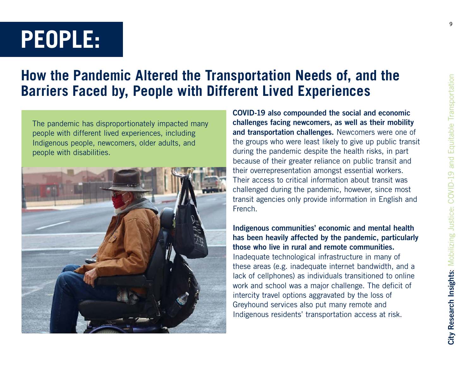# **PEOPLE:**

## **How the Pandemic Altered the Transportation Needs of, and the Barriers Faced by, People with Different Lived Experiences**

The pandemic has disproportionately impacted many people with different lived experiences, including Indigenous people, newcomers, older adults, and people with disabilities.



**COVID-19 also compounded the social and economic challenges facing newcomers, as well as their mobility and transportation challenges.** Newcomers were one of the groups who were least likely to give up public transit during the pandemic despite the health risks, in part because of their greater reliance on public transit and their overrepresentation amongst essential workers. Their access to critical information about transit was challenged during the pandemic, however, since most transit agencies only provide information in English and French.

**Indigenous communities' economic and mental health has been heavily affected by the pandemic, particularly those who live in rural and remote communities.** Inadequate technological infrastructure in many of these areas (e.g. inadequate internet bandwidth, and a lack of cellphones) as individuals transitioned to online work and school was a major challenge. The deficit of intercity travel options aggravated by the loss of Greyhound services also put many remote and Indigenous residents' transportation access at risk.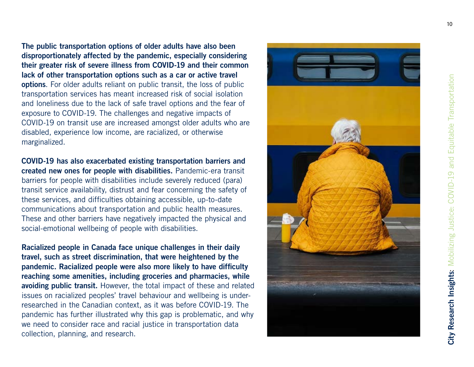**The public transportation options of older adults have also been disproportionately affected by the pandemic, especially considering their greater risk of severe illness from COVID-19 and their common lack of other transportation options such as a car or active travel options**. For older adults reliant on public transit, the loss of public transportation services has meant increased risk of social isolation and loneliness due to the lack of safe travel options and the fear of exposure to COVID-19. The challenges and negative impacts of COVID-19 on transit use are increased amongst older adults who are disabled, experience low income, are racialized, or otherwise marginalized.

**COVID-19 has also exacerbated existing transportation barriers and created new ones for people with disabilities.** Pandemic-era transit barriers for people with disabilities include severely reduced (para) transit service availability, distrust and fear concerning the safety of these services, and difficulties obtaining accessible, up-to-date communications about transportation and public health measures. These and other barriers have negatively impacted the physical and social-emotional wellbeing of people with disabilities.

**Racialized people in Canada face unique challenges in their daily travel, such as street discrimination, that were heightened by the pandemic. Racialized people were also more likely to have difficulty reaching some amenities, including groceries and pharmacies, while avoiding public transit.** However, the total impact of these and related issues on racialized peoples' travel behaviour and wellbeing is underresearched in the Canadian context, as it was before COVID-19. The pandemic has further illustrated why this gap is problematic, and why we need to consider race and racial justice in transportation data collection, planning, and research.

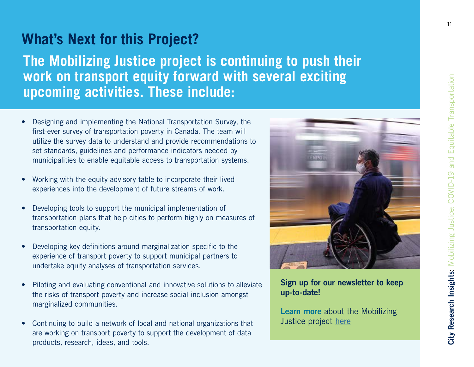# **What's Next for this Project?**

**The Mobilizing Justice project is continuing to push their work on transport equity forward with several exciting upcoming activities. These include:**

- Designing and implementing the National Transportation Survey, the first-ever survey of transportation poverty in Canada. The team will utilize the survey data to understand and provide recommendations to set standards, guidelines and performance indicators needed by municipalities to enable equitable access to transportation systems.
- Working with the equity advisory table to incorporate their lived experiences into the development of future streams of work.
- Developing tools to support the municipal implementation of transportation plans that help cities to perform highly on measures of transportation equity.
- Developing key definitions around marginalization specific to the experience of transport poverty to support municipal partners to undertake equity analyses of transportation services.
- Piloting and evaluating conventional and innovative solutions to alleviate the risks of transport poverty and increase social inclusion amongst marginalized communities.
- Continuing to build a network of local and national organizations that are working on transport poverty to support the development of data products, research, ideas, and tools.



**Sign up for our newsletter to keep up-to-date!** 

**Learn more** about the Mobilizing Justice project [here](https://mobilizingjustice.ca)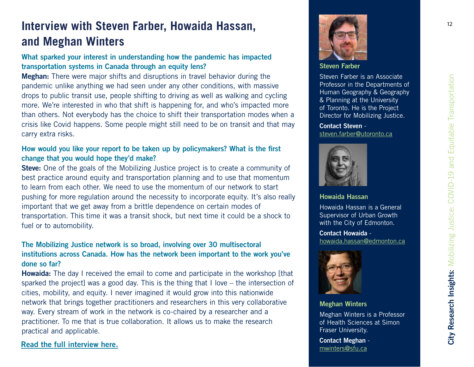## **Interview with Steven Farber, Howaida Hassan, New York 12 and 12 and 12 and 12 and 12 and 12 and 12 and 12 and 12 and 12 and 12 and 12 and 12 and 12 and 12 and 12 and 12 and 12 and 12 and 12 and 12 and 12 and 12 and 12 an and Meghan Winters**

## **What sparked your interest in understanding how the pandemic has impacted transportation systems in Canada through an equity lens?**

**Meghan:** There were major shifts and disruptions in travel behavior during the pandemic unlike anything we had seen under any other conditions, with massive drops to public transit use, people shifting to driving as well as walking and cycling more. We're interested in who that shift is happening for, and who's impacted more than others. Not everybody has the choice to shift their transportation modes when a crisis like Covid happens. Some people might still need to be on transit and that may carry extra risks.

## **How would you like your report to be taken up by policymakers? What is the first change that you would hope they'd make?**

**Steve:** One of the goals of the Mobilizing Justice project is to create a community of best practice around equity and transportation planning and to use that momentum to learn from each other. We need to use the momentum of our network to start pushing for more regulation around the necessity to incorporate equity. It's also really important that we get away from a brittle dependence on certain modes of transportation. This time it was a transit shock, but next time it could be a shock to fuel or to automobility.

## **The Mobilizing Justice network is so broad, involving over 30 multisectoral institutions across Canada. How has the network been important to the work you've done so far?**

**Howaida:** The day I received the email to come and participate in the workshop [that sparked the project] was a good day. This is the thing that I love – the intersection of cities, mobility, and equity. I never imagined it would grow into this nationwide network that brings together practitioners and researchers in this very collaborative way. Every stream of work in the network is co-chaired by a researcher and a practitioner. To me that is true collaboration. It allows us to make the research practical and applicable.

## **[Read the full interview here.](https://www.schoolofcities.utoronto.ca/interview-with-mobilizing-justice)**



**Steven Farber**

Steven Farber is an Associate Professor in the Departments of Human Geography & Geography & Planning at the University of Toronto. He is the Project Director for Mobilizing Justice.

## **Contact Steven**  steven[.farber@utoronto.ca](mailto:steven.farber%40utoronto.ca%20?subject=)



**Howaida Hassan** Howaida Hassan is a General Supervisor of Urban Growth with the City of Edmonton.

**Contact Howaida**  [howaida.hassan@edmonton.ca](mailto:howaida.hassan%40edmonton.ca?subject=)



**Meghan Winters**

Meghan Winters is a Professor of Health Sciences at Simon Fraser University.

**Contact Meghan**  [mwinters@sfu.ca](mailto:mwinters%40sfu.ca?subject=)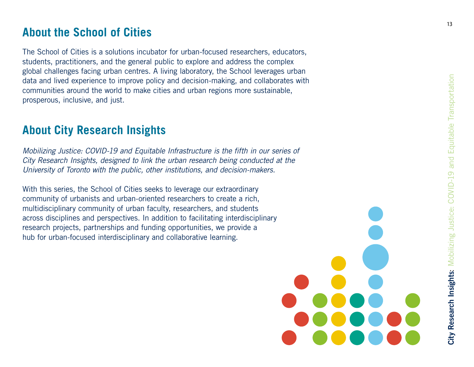## **About the School of Cities**

The School of Cities is a solutions incubator for urban-focused researchers, educators, students, practitioners, and the general public to explore and address the complex global challenges facing urban centres. A living laboratory, the School leverages urban data and lived experience to improve policy and decision-making, and collaborates with communities around the world to make cities and urban regions more sustainable, prosperous, inclusive, and just.

## **About City Research Insights**

Mobilizing Justice: COVID-19 and Equitable Infrastructure is the fifth in our series of *City Research Insights, designed to link the urban research being conducted at the University of Toronto with the public, other institutions, and decision-makers.* 

With this series, the School of Cities seeks to leverage our extraordinary community of urbanists and urban-oriented researchers to create a rich, multidisciplinary community of urban faculty, researchers, and students across disciplines and perspectives. In addition to facilitating interdisciplinary research projects, partnerships and funding opportunities, we provide a hub for urban-focused interdisciplinary and collaborative learning.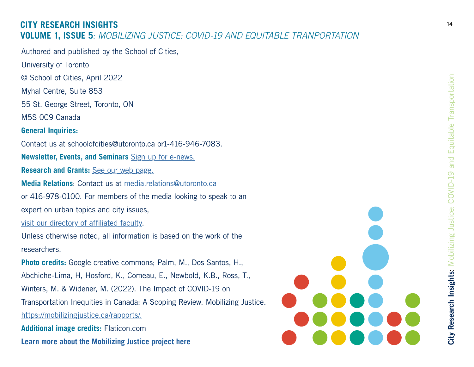## **CITY RESEARCH INSIGHTS VOLUME 1, ISSUE 5***: MOBILIZING JUSTICE: COVID-19 AND EQUITABLE TRANPORTATION*

Authored and published by the School of Cities,

University of Toronto

© School of Cities, April 2022

Myhal Centre, Suite 853

55 St. George Street, Toronto, ON

M5S 0C9 Canada

**General Inquiries:** 

Contact us at schoolofcities@utoronto.ca or1-416-946-7083.

**Newsletter, Events, and Seminars** [Sign up for e-news.](https://schoolofcities.us19.list-manage.com/subscribe?u=63f9ed310ffa8729231533667&id=707e088a89)

**Research and Grants:** [See our web page.](https://www.schoolofcities.utoronto.ca/research) 

**Media Relations**: Contact us at [media.relations@utoronto.ca](mailto:media.relations%40utoronto.ca?subject=) 

or 416-978-0100. For members of the media looking to speak to an

expert on urban topics and city issues,

[visit our directory of affiliated faculty](https://www.schoolofcities.utoronto.ca/people/directories/all-faculty).

Unless otherwise noted, all information is based on the work of the researchers.

**Photo credits:** Google creative commons; Palm, M., Dos Santos, H., Abchiche-Lima, H, Hosford, K., Comeau, E., Newbold, K.B., Ross, T., Winters, M. & Widener, M. (2022). The Impact of COVID-19 on Transportation Inequities in Canada: A Scoping Review. Mobilizing Justice. <https://mobilizingjustice.ca/rapports/.> **Additional image credits:** Flaticon.com





14